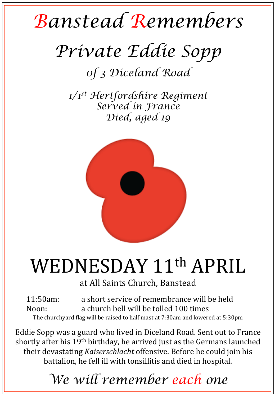## *Banstead Remembers*

## *Private Eddie Sopp*

*0f 3 Diceland Road* 

*1/1st Hertfordshire Regiment Served in France Died, aged 19* 



## WEDNESDAY 11<sup>th</sup> APRIL

at All Saints Church, Banstead

11:50am: a short service of remembrance will be held Noon: a church bell will be tolled 100 times The churchyard flag will be raised to half mast at 7:30am and lowered at 5:30pm

Eddie Sopp was a guard who lived in Diceland Road. Sent out to France shortly after his 19<sup>th</sup> birthday, he arrived just as the Germans launched their devastating *Kaiserschlacht* offensive. Before he could join his battalion, he fell ill with tonsillitis and died in hospital.

*We will remember each one*